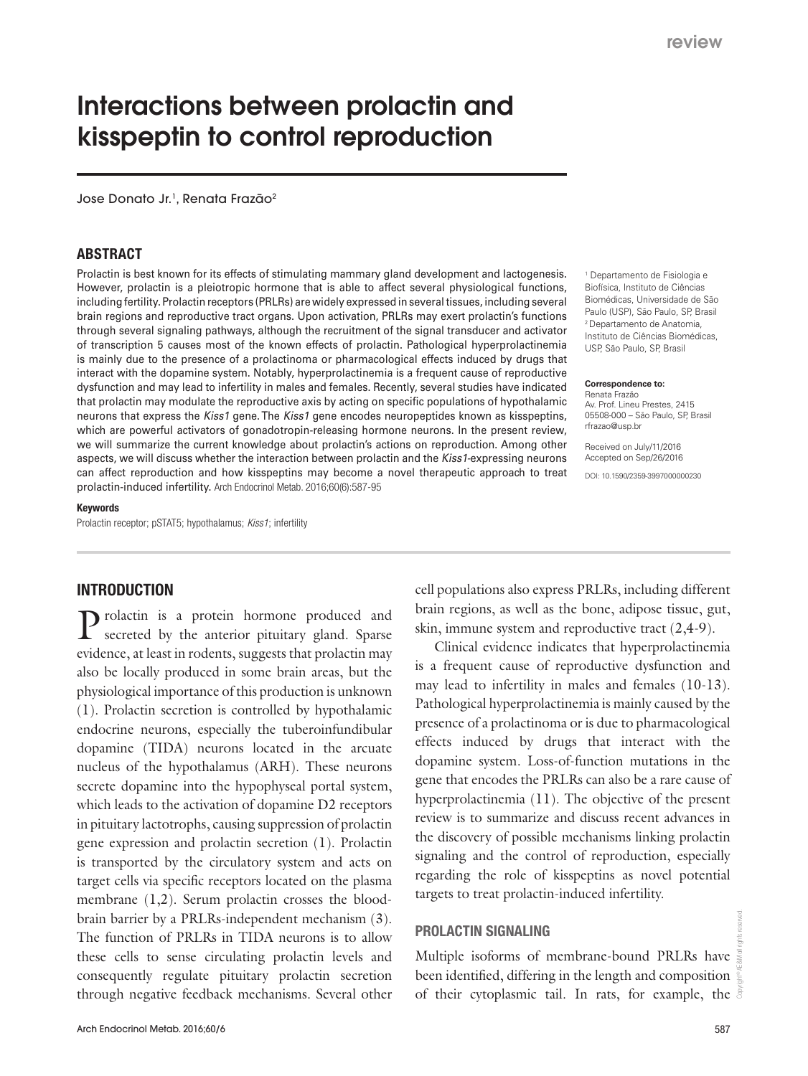# Interactions between prolactin and kisspeptin to control reproduction

Jose Donato Jr.<sup>1</sup>, Renata Frazão<sup>2</sup>

### ABSTRACT

Prolactin is best known for its effects of stimulating mammary gland development and lactogenesis. However, prolactin is a pleiotropic hormone that is able to affect several physiological functions, including fertility. Prolactin receptors (PRLRs) are widely expressed in several tissues, including several brain regions and reproductive tract organs. Upon activation, PRLRs may exert prolactin's functions through several signaling pathways, although the recruitment of the signal transducer and activator of transcription 5 causes most of the known effects of prolactin. Pathological hyperprolactinemia is mainly due to the presence of a prolactinoma or pharmacological effects induced by drugs that interact with the dopamine system. Notably, hyperprolactinemia is a frequent cause of reproductive dysfunction and may lead to infertility in males and females. Recently, several studies have indicated that prolactin may modulate the reproductive axis by acting on specific populations of hypothalamic neurons that express the Kiss1 gene. The Kiss1 gene encodes neuropeptides known as kisspeptins, which are powerful activators of gonadotropin-releasing hormone neurons. In the present review, we will summarize the current knowledge about prolactin's actions on reproduction. Among other aspects, we will discuss whether the interaction between prolactin and the Kiss1-expressing neurons can affect reproduction and how kisspeptins may become a novel therapeutic approach to treat prolactin-induced infertility. Arch Endocrinol Metab. 2016;60(6):587-95

#### Keywords

Prolactin receptor; pSTAT5; hypothalamus; *Kiss1*; infertility

### INTRODUCTION

Prolactin is a protein hormone produced and secreted by the anterior pituitary gland. Sparse evidence, at least in rodents, suggests that prolactin may also be locally produced in some brain areas, but the physiological importance of this production is unknown (1). Prolactin secretion is controlled by hypothalamic endocrine neurons, especially the tuberoinfundibular dopamine (TIDA) neurons located in the arcuate nucleus of the hypothalamus (ARH). These neurons secrete dopamine into the hypophyseal portal system, which leads to the activation of dopamine D2 receptors in pituitary lactotrophs, causing suppression of prolactin gene expression and prolactin secretion (1). Prolactin is transported by the circulatory system and acts on target cells via specific receptors located on the plasma membrane  $(1,2)$ . Serum prolactin crosses the bloodbrain barrier by a PRLRs-independent mechanism (3). The function of PRLRs in TIDA neurons is to allow these cells to sense circulating prolactin levels and consequently regulate pituitary prolactin secretion through negative feedback mechanisms. Several other

1 Departamento de Fisiologia e Biofísica, Instituto de Ciências Biomédicas, Universidade de São Paulo (USP), São Paulo, SP, Brasil 2 Departamento de Anatomia, Instituto de Ciências Biomédicas, USP, São Paulo, SP, Brasil

#### **Correspondence to:** Renata Frazão

Av. Prof. Lineu Prestes, 2415 05508-000 – São Paulo, SP, Brasil rfrazao@usp.br

Received on July/11/2016 Accepted on Sep/26/2016

DOI: 10.1590/2359-3997000000230

cell populations also express PRLRs, including different brain regions, as well as the bone, adipose tissue, gut, skin, immune system and reproductive tract (2,4-9).

Clinical evidence indicates that hyperprolactinemia is a frequent cause of reproductive dysfunction and may lead to infertility in males and females (10-13). Pathological hyperprolactinemia is mainly caused by the presence of a prolactinoma or is due to pharmacological effects induced by drugs that interact with the dopamine system. Loss-of-function mutations in the gene that encodes the PRLRs can also be a rare cause of hyperprolactinemia (11). The objective of the present review is to summarize and discuss recent advances in the discovery of possible mechanisms linking prolactin signaling and the control of reproduction, especially regarding the role of kisspeptins as novel potential targets to treat prolactin-induced infertility.

#### PROLACTIN SIGNALING

Multiple isoforms of membrane-bound PRLRs have been identified, differing in the length and composition of their cytoplasmic tail. In rats, for example, the  $\frac{8}{9}$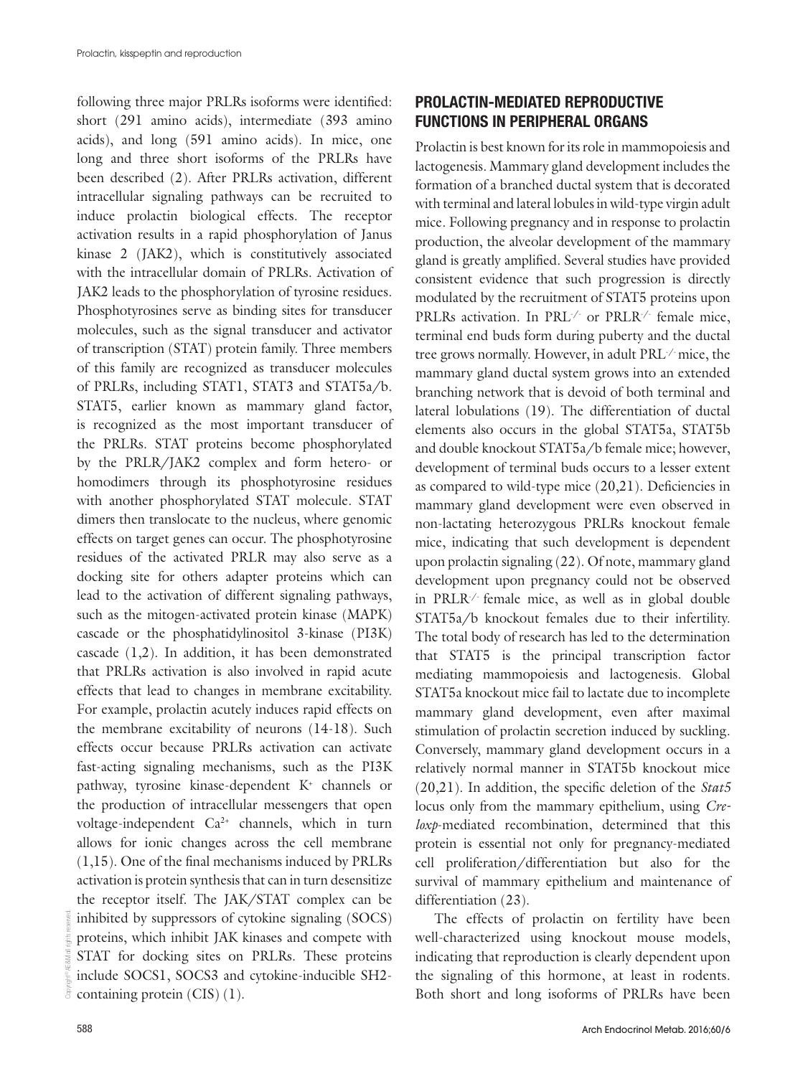following three major PRLRs isoforms were identified: short (291 amino acids), intermediate (393 amino acids), and long (591 amino acids). In mice, one long and three short isoforms of the PRLRs have been described (2). After PRLRs activation, different intracellular signaling pathways can be recruited to induce prolactin biological effects. The receptor activation results in a rapid phosphorylation of Janus kinase 2 (JAK2), which is constitutively associated with the intracellular domain of PRLRs. Activation of JAK2 leads to the phosphorylation of tyrosine residues. Phosphotyrosines serve as binding sites for transducer molecules, such as the signal transducer and activator of transcription (STAT) protein family. Three members of this family are recognized as transducer molecules of PRLRs, including STAT1, STAT3 and STAT5a/b. STAT5, earlier known as mammary gland factor, is recognized as the most important transducer of the PRLRs. STAT proteins become phosphorylated by the PRLR/JAK2 complex and form hetero- or homodimers through its phosphotyrosine residues with another phosphorylated STAT molecule. STAT dimers then translocate to the nucleus, where genomic effects on target genes can occur. The phosphotyrosine residues of the activated PRLR may also serve as a docking site for others adapter proteins which can lead to the activation of different signaling pathways, such as the mitogen-activated protein kinase (MAPK) cascade or the phosphatidylinositol 3-kinase (PI3K) cascade (1,2). In addition, it has been demonstrated that PRLRs activation is also involved in rapid acute effects that lead to changes in membrane excitability. For example, prolactin acutely induces rapid effects on the membrane excitability of neurons (14-18). Such effects occur because PRLRs activation can activate fast-acting signaling mechanisms, such as the PI3K pathway, tyrosine kinase-dependent K+ channels or the production of intracellular messengers that open voltage-independent Ca2+ channels, which in turn allows for ionic changes across the cell membrane (1,15). One of the final mechanisms induced by PRLRs activation is protein synthesis that can in turn desensitize the receptor itself. The JAK/STAT complex can be inhibited by suppressors of cytokine signaling (SOCS) proteins, which inhibit JAK kinases and compete with STAT for docking sites on PRLRs. These proteins include SOCS1, SOCS3 and cytokine-inducible SH2 containing protein (CIS) (1).

# PROLACTIN-MEDIATED REPRODUCTIVE FUNCTIONS IN PERIPHERAL ORGANS

Prolactin is best known for its role in mammopoiesis and lactogenesis. Mammary gland development includes the formation of a branched ductal system that is decorated with terminal and lateral lobules in wild-type virgin adult mice. Following pregnancy and in response to prolactin production, the alveolar development of the mammary gland is greatly amplified. Several studies have provided consistent evidence that such progression is directly modulated by the recruitment of STAT5 proteins upon PRLRs activation. In PRL<sup>1</sup> or PRLR<sup>1</sup> female mice, terminal end buds form during puberty and the ductal tree grows normally. However, in adult PRL-/- mice, the mammary gland ductal system grows into an extended branching network that is devoid of both terminal and lateral lobulations (19). The differentiation of ductal elements also occurs in the global STAT5a, STAT5b and double knockout STAT5a/b female mice; however, development of terminal buds occurs to a lesser extent as compared to wild-type mice (20,21). Deficiencies in mammary gland development were even observed in non-lactating heterozygous PRLRs knockout female mice, indicating that such development is dependent upon prolactin signaling (22). Of note, mammary gland development upon pregnancy could not be observed in PRLR-/- female mice, as well as in global double STAT5a/b knockout females due to their infertility. The total body of research has led to the determination that STAT5 is the principal transcription factor mediating mammopoiesis and lactogenesis. Global STAT5a knockout mice fail to lactate due to incomplete mammary gland development, even after maximal stimulation of prolactin secretion induced by suckling. Conversely, mammary gland development occurs in a relatively normal manner in STAT5b knockout mice (20,21). In addition, the specific deletion of the *Stat5* locus only from the mammary epithelium, using *Creloxp*-mediated recombination, determined that this protein is essential not only for pregnancy-mediated cell proliferation/differentiation but also for the survival of mammary epithelium and maintenance of differentiation (23).

The effects of prolactin on fertility have been well-characterized using knockout mouse models, indicating that reproduction is clearly dependent upon the signaling of this hormone, at least in rodents. Both short and long isoforms of PRLRs have been

Copyright© AE&M all rights reserved.

š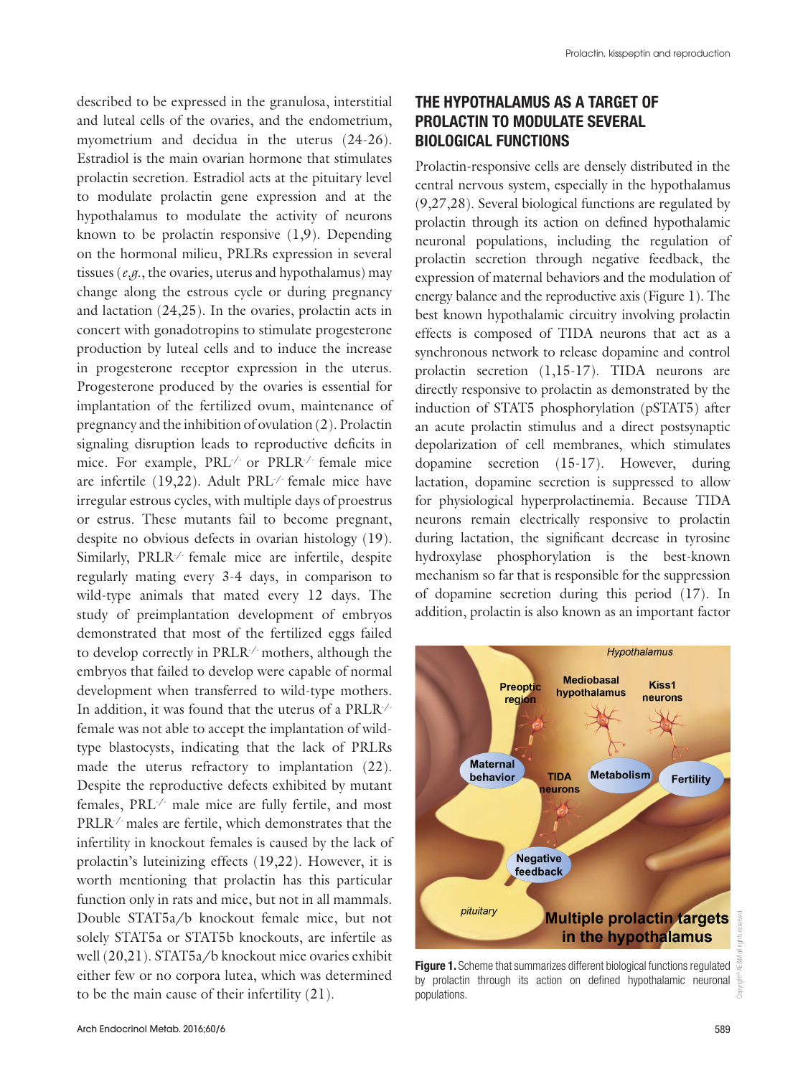described to be expressed in the granulosa, interstitial and luteal cells of the ovaries, and the endometrium, myometrium and decidua in the uterus (24-26). Estradiol is the main ovarian hormone that stimulates prolactin secretion. Estradiol acts at the pituitary level to modulate prolactin gene expression and at the hypothalamus to modulate the activity of neurons known to be prolactin responsive (1,9). Depending on the hormonal milieu, PRLRs expression in several tissues (*e.g*., the ovaries, uterus and hypothalamus) may change along the estrous cycle or during pregnancy and lactation (24,25). In the ovaries, prolactin acts in concert with gonadotropins to stimulate progesterone production by luteal cells and to induce the increase in progesterone receptor expression in the uterus. Progesterone produced by the ovaries is essential for implantation of the fertilized ovum, maintenance of pregnancy and the inhibition of ovulation (2). Prolactin signaling disruption leads to reproductive deficits in mice. For example, PRL-/- or PRLR-/- female mice are infertile (19,22). Adult PRL-/- female mice have irregular estrous cycles, with multiple days of proestrus or estrus. These mutants fail to become pregnant, despite no obvious defects in ovarian histology (19). Similarly, PRLR-/- female mice are infertile, despite regularly mating every 3-4 days, in comparison to wild-type animals that mated every 12 days. The study of preimplantation development of embryos demonstrated that most of the fertilized eggs failed to develop correctly in PRLR-/- mothers, although the embryos that failed to develop were capable of normal development when transferred to wild-type mothers. In addition, it was found that the uterus of a PRLR-/ female was not able to accept the implantation of wildtype blastocysts, indicating that the lack of PRLRs made the uterus refractory to implantation (22). Despite the reproductive defects exhibited by mutant females, PRL-/- male mice are fully fertile, and most PRLR-/- males are fertile, which demonstrates that the infertility in knockout females is caused by the lack of prolactin's luteinizing effects (19,22). However, it is worth mentioning that prolactin has this particular function only in rats and mice, but not in all mammals. Double STAT5a/b knockout female mice, but not solely STAT5a or STAT5b knockouts, are infertile as well (20,21). STAT5a/b knockout mice ovaries exhibit either few or no corpora lutea, which was determined to be the main cause of their infertility (21).

# THE HYPOTHALAMUS AS A TARGET OF PROLACTIN TO MODULATE SEVERAL BIOLOGICAL FUNCTIONS

Prolactin-responsive cells are densely distributed in the central nervous system, especially in the hypothalamus (9,27,28). Several biological functions are regulated by prolactin through its action on defined hypothalamic neuronal populations, including the regulation of prolactin secretion through negative feedback, the expression of maternal behaviors and the modulation of energy balance and the reproductive axis (Figure 1). The best known hypothalamic circuitry involving prolactin effects is composed of TIDA neurons that act as a synchronous network to release dopamine and control prolactin secretion (1,15-17). TIDA neurons are directly responsive to prolactin as demonstrated by the induction of STAT5 phosphorylation (pSTAT5) after an acute prolactin stimulus and a direct postsynaptic depolarization of cell membranes, which stimulates dopamine secretion (15-17). However, during lactation, dopamine secretion is suppressed to allow for physiological hyperprolactinemia. Because TIDA neurons remain electrically responsive to prolactin during lactation, the significant decrease in tyrosine hydroxylase phosphorylation is the best-known mechanism so far that is responsible for the suppression of dopamine secretion during this period (17). In addition, prolactin is also known as an important factor



Figure 1. Scheme that summarizes different biological functions regulated by prolactin through its action on defined hypothalamic neuronal populations.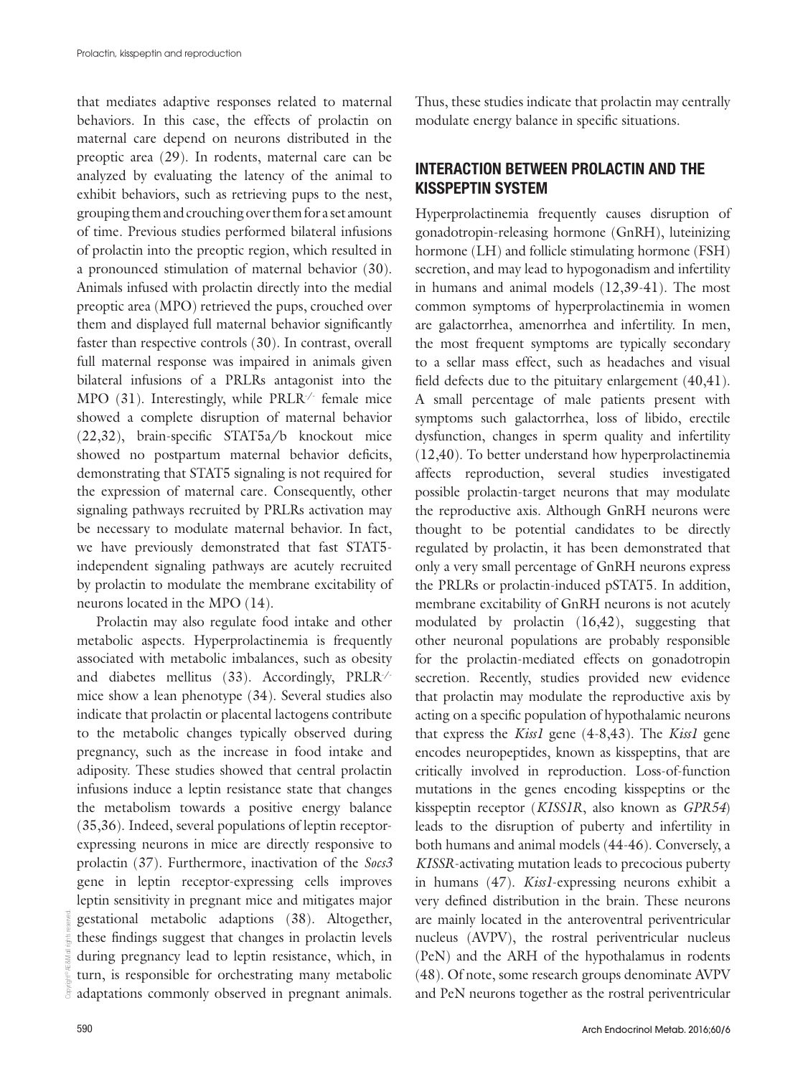that mediates adaptive responses related to maternal behaviors. In this case, the effects of prolactin on maternal care depend on neurons distributed in the preoptic area (29). In rodents, maternal care can be analyzed by evaluating the latency of the animal to exhibit behaviors, such as retrieving pups to the nest, grouping them and crouching over them for a set amount of time. Previous studies performed bilateral infusions of prolactin into the preoptic region, which resulted in a pronounced stimulation of maternal behavior (30). Animals infused with prolactin directly into the medial preoptic area (MPO) retrieved the pups, crouched over them and displayed full maternal behavior significantly faster than respective controls (30). In contrast, overall full maternal response was impaired in animals given bilateral infusions of a PRLRs antagonist into the MPO (31). Interestingly, while PRLR<sup>-/-</sup> female mice showed a complete disruption of maternal behavior (22,32), brain-specific STAT5a/b knockout mice showed no postpartum maternal behavior deficits, demonstrating that STAT5 signaling is not required for the expression of maternal care. Consequently, other signaling pathways recruited by PRLRs activation may be necessary to modulate maternal behavior. In fact, we have previously demonstrated that fast STAT5 independent signaling pathways are acutely recruited by prolactin to modulate the membrane excitability of neurons located in the MPO (14).

Prolactin may also regulate food intake and other metabolic aspects. Hyperprolactinemia is frequently associated with metabolic imbalances, such as obesity and diabetes mellitus (33). Accordingly, PRLR-/ mice show a lean phenotype (34). Several studies also indicate that prolactin or placental lactogens contribute to the metabolic changes typically observed during pregnancy, such as the increase in food intake and adiposity. These studies showed that central prolactin infusions induce a leptin resistance state that changes the metabolism towards a positive energy balance (35,36). Indeed, several populations of leptin receptorexpressing neurons in mice are directly responsive to prolactin (37). Furthermore, inactivation of the *Socs3* gene in leptin receptor-expressing cells improves leptin sensitivity in pregnant mice and mitigates major gestational metabolic adaptions (38). Altogether, these findings suggest that changes in prolactin levels during pregnancy lead to leptin resistance, which, in turn, is responsible for orchestrating many metabolic adaptations commonly observed in pregnant animals.

Thus, these studies indicate that prolactin may centrally modulate energy balance in specific situations.

## INTERACTION BETWEEN PROLACTIN AND THE KISSPEPTIN SYSTEM

Hyperprolactinemia frequently causes disruption of gonadotropin-releasing hormone (GnRH), luteinizing hormone (LH) and follicle stimulating hormone (FSH) secretion, and may lead to hypogonadism and infertility in humans and animal models (12,39-41). The most common symptoms of hyperprolactinemia in women are galactorrhea, amenorrhea and infertility. In men, the most frequent symptoms are typically secondary to a sellar mass effect, such as headaches and visual field defects due to the pituitary enlargement (40,41). A small percentage of male patients present with symptoms such galactorrhea, loss of libido, erectile dysfunction, changes in sperm quality and infertility (12,40). To better understand how hyperprolactinemia affects reproduction, several studies investigated possible prolactin-target neurons that may modulate the reproductive axis. Although GnRH neurons were thought to be potential candidates to be directly regulated by prolactin, it has been demonstrated that only a very small percentage of GnRH neurons express the PRLRs or prolactin-induced pSTAT5. In addition, membrane excitability of GnRH neurons is not acutely modulated by prolactin (16,42), suggesting that other neuronal populations are probably responsible for the prolactin-mediated effects on gonadotropin secretion. Recently, studies provided new evidence that prolactin may modulate the reproductive axis by acting on a specific population of hypothalamic neurons that express the *Kiss1* gene (4-8,43). The *Kiss1* gene encodes neuropeptides, known as kisspeptins, that are critically involved in reproduction. Loss-of-function mutations in the genes encoding kisspeptins or the kisspeptin receptor (*KISS1R*, also known as *GPR54*) leads to the disruption of puberty and infertility in both humans and animal models (44-46). Conversely, a *KISSR*-activating mutation leads to precocious puberty in humans (47). *Kiss1*-expressing neurons exhibit a very defined distribution in the brain. These neurons are mainly located in the anteroventral periventricular nucleus (AVPV), the rostral periventricular nucleus (PeN) and the ARH of the hypothalamus in rodents (48). Of note, some research groups denominate AVPV and PeN neurons together as the rostral periventricular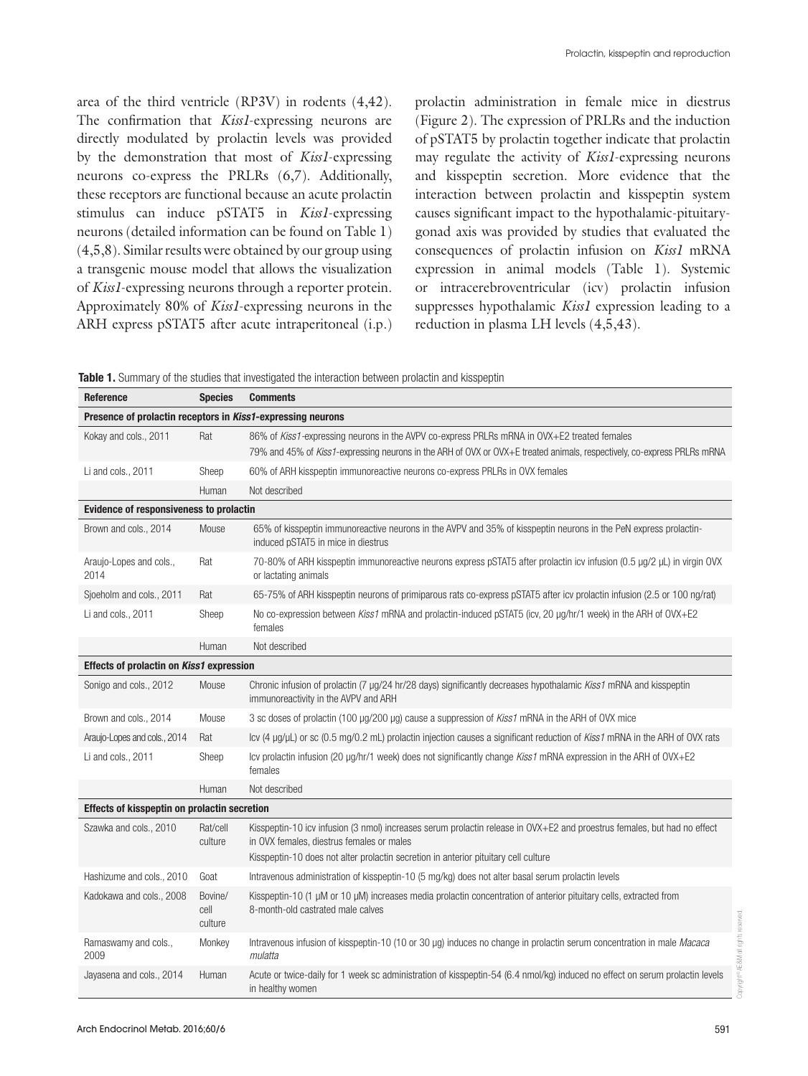area of the third ventricle (RP3V) in rodents (4,42). The confirmation that *Kiss1*-expressing neurons are directly modulated by prolactin levels was provided by the demonstration that most of *Kiss1*-expressing neurons co-express the PRLRs (6,7). Additionally, these receptors are functional because an acute prolactin stimulus can induce pSTAT5 in *Kiss1*-expressing neurons (detailed information can be found on Table 1) (4,5,8). Similar results were obtained by our group using a transgenic mouse model that allows the visualization of *Kiss1*-expressing neurons through a reporter protein. Approximately 80% of *Kiss1*-expressing neurons in the ARH express pSTAT5 after acute intraperitoneal (i.p.) prolactin administration in female mice in diestrus (Figure 2). The expression of PRLRs and the induction of pSTAT5 by prolactin together indicate that prolactin may regulate the activity of *Kiss1*-expressing neurons and kisspeptin secretion. More evidence that the interaction between prolactin and kisspeptin system causes significant impact to the hypothalamic-pituitarygonad axis was provided by studies that evaluated the consequences of prolactin infusion on *Kiss1* mRNA expression in animal models (Table 1). Systemic or intracerebroventricular (icv) prolactin infusion suppresses hypothalamic *Kiss1* expression leading to a reduction in plasma LH levels (4,5,43).

|  |  | Table 1. Summary of the studies that investigated the interaction between prolactin and kisspeptin |
|--|--|----------------------------------------------------------------------------------------------------|
|--|--|----------------------------------------------------------------------------------------------------|

| Reference                                                   | <b>Species</b>             | <b>Comments</b>                                                                                                                                                                                                                                              |  |
|-------------------------------------------------------------|----------------------------|--------------------------------------------------------------------------------------------------------------------------------------------------------------------------------------------------------------------------------------------------------------|--|
| Presence of prolactin receptors in Kiss1-expressing neurons |                            |                                                                                                                                                                                                                                                              |  |
| Kokay and cols., 2011                                       | Rat                        | 86% of Kiss1-expressing neurons in the AVPV co-express PRLRs mRNA in OVX+E2 treated females                                                                                                                                                                  |  |
|                                                             |                            | 79% and 45% of Kiss1-expressing neurons in the ARH of OVX or OVX+E treated animals, respectively, co-express PRLRs mRNA                                                                                                                                      |  |
| Li and cols., 2011                                          | Sheep                      | 60% of ARH kisspeptin immunoreactive neurons co-express PRLRs in OVX females                                                                                                                                                                                 |  |
|                                                             | Human                      | Not described                                                                                                                                                                                                                                                |  |
| Evidence of responsiveness to prolactin                     |                            |                                                                                                                                                                                                                                                              |  |
| Brown and cols., 2014                                       | Mouse                      | 65% of kisspeptin immunoreactive neurons in the AVPV and 35% of kisspeptin neurons in the PeN express prolactin-<br>induced pSTAT5 in mice in diestrus                                                                                                       |  |
| Araujo-Lopes and cols.,<br>2014                             | Rat                        | 70-80% of ARH kisspeptin immunoreactive neurons express pSTAT5 after prolactin icv infusion (0.5 µg/2 µL) in virgin OVX<br>or lactating animals                                                                                                              |  |
| Sjoeholm and cols., 2011                                    | Rat                        | 65-75% of ARH kisspeptin neurons of primiparous rats co-express pSTAT5 after icv prolactin infusion (2.5 or 100 ng/rat)                                                                                                                                      |  |
| Li and cols., 2011                                          | Sheep                      | No co-expression between Kiss1 mRNA and prolactin-induced pSTAT5 (icv, 20 µg/hr/1 week) in the ARH of OVX+E2<br>females                                                                                                                                      |  |
|                                                             | Human                      | Not described                                                                                                                                                                                                                                                |  |
| Effects of prolactin on Kiss1 expression                    |                            |                                                                                                                                                                                                                                                              |  |
| Sonigo and cols., 2012                                      | Mouse                      | Chronic infusion of prolactin (7 µg/24 hr/28 days) significantly decreases hypothalamic Kiss1 mRNA and kisspeptin<br>immunoreactivity in the AVPV and ARH                                                                                                    |  |
| Brown and cols., 2014                                       | Mouse                      | 3 sc doses of prolactin (100 µg/200 µg) cause a suppression of Kiss1 mRNA in the ARH of OVX mice                                                                                                                                                             |  |
| Araujo-Lopes and cols., 2014                                | Rat                        | Icv $(4 \mu g/\mu L)$ or sc $(0.5 \mu g/0.2 \mu L)$ prolactin injection causes a significant reduction of <i>Kiss1</i> mRNA in the ARH of OVX rats                                                                                                           |  |
| Li and cols., 2011                                          | Sheep                      | Icy prolactin infusion (20 $\mu$ g/hr/1 week) does not significantly change Kiss1 mRNA expression in the ARH of OVX+E2<br>females                                                                                                                            |  |
|                                                             | Human                      | Not described                                                                                                                                                                                                                                                |  |
| Effects of kisspeptin on prolactin secretion                |                            |                                                                                                                                                                                                                                                              |  |
| Szawka and cols., 2010                                      | Rat/cell<br>culture        | Kisspeptin-10 icy infusion (3 nmol) increases serum prolactin release in OVX+E2 and proestrus females, but had no effect<br>in OVX females, diestrus females or males<br>Kisspeptin-10 does not alter prolactin secretion in anterior pituitary cell culture |  |
| Hashizume and cols., 2010                                   | Goat                       | Intravenous administration of kisspeptin-10 (5 mg/kg) does not alter basal serum prolactin levels                                                                                                                                                            |  |
| Kadokawa and cols., 2008                                    | Bovine/<br>cell<br>culture | Kisspeptin-10 (1 $\mu$ M or 10 $\mu$ M) increases media prolactin concentration of anterior pituitary cells, extracted from<br>8-month-old castrated male calves                                                                                             |  |
| Ramaswamy and cols.,<br>2009                                | Monkey                     | Intravenous infusion of kisspeptin-10 (10 or 30 µg) induces no change in prolactin serum concentration in male Macaca<br>mulatta                                                                                                                             |  |
| Jayasena and cols., 2014                                    | Human                      | Acute or twice-daily for 1 week sc administration of kisspeptin-54 (6.4 nmol/kg) induced no effect on serum prolactin levels<br>in healthy women                                                                                                             |  |

Copyright© AE&M all rights reserved.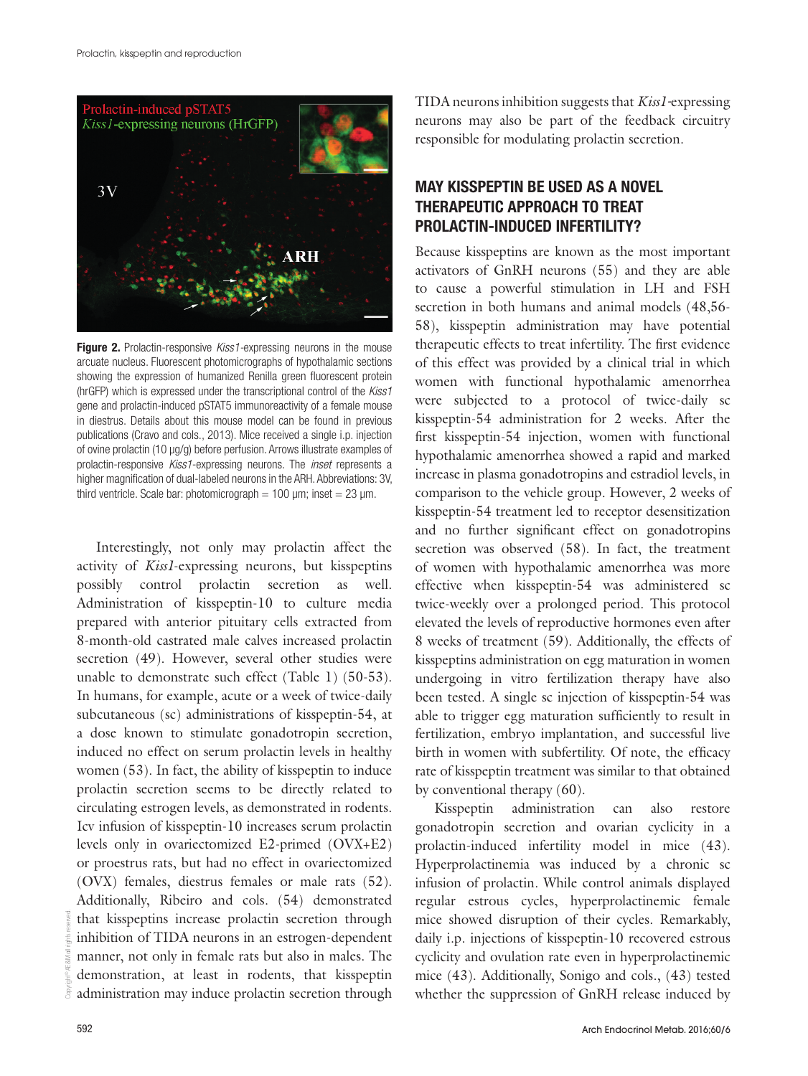

**Figure 2.** Prolactin-responsive *Kiss1*-expressing neurons in the mouse arcuate nucleus. Fluorescent photomicrographs of hypothalamic sections showing the expression of humanized Renilla green fluorescent protein (hrGFP) which is expressed under the transcriptional control of the *Kiss1* gene and prolactin-induced pSTAT5 immunoreactivity of a female mouse in diestrus. Details about this mouse model can be found in previous publications (Cravo and cols., 2013). Mice received a single i.p. injection of ovine prolactin (10 µg/g) before perfusion. Arrows illustrate examples of prolactin-responsive *Kiss1*-expressing neurons. The *inset* represents a higher magnification of dual-labeled neurons in the ARH. Abbreviations: 3V, third ventricle. Scale bar: photomicrograph =  $100 \mu m$ ; inset =  $23 \mu m$ .

Interestingly, not only may prolactin affect the activity of *Kiss1*-expressing neurons, but kisspeptins possibly control prolactin secretion as well. Administration of kisspeptin-10 to culture media prepared with anterior pituitary cells extracted from 8-month-old castrated male calves increased prolactin secretion (49). However, several other studies were unable to demonstrate such effect (Table 1) (50-53). In humans, for example, acute or a week of twice-daily subcutaneous (sc) administrations of kisspeptin-54, at a dose known to stimulate gonadotropin secretion, induced no effect on serum prolactin levels in healthy women (53). In fact, the ability of kisspeptin to induce prolactin secretion seems to be directly related to circulating estrogen levels, as demonstrated in rodents. Icv infusion of kisspeptin-10 increases serum prolactin levels only in ovariectomized E2-primed (OVX+E2) or proestrus rats, but had no effect in ovariectomized (OVX) females, diestrus females or male rats (52). Additionally, Ribeiro and cols. (54) demonstrated that kisspeptins increase prolactin secretion through inhibition of TIDA neurons in an estrogen-dependent manner, not only in female rats but also in males. The demonstration, at least in rodents, that kisspeptin administration may induce prolactin secretion through TIDA neurons inhibition suggests that *Kiss1-*expressing neurons may also be part of the feedback circuitry responsible for modulating prolactin secretion.

# MAY KISSPEPTIN BE USED AS A NOVEL THERAPEUTIC APPROACH TO TREAT PROLACTIN-INDUCED INFERTILITY?

Because kisspeptins are known as the most important activators of GnRH neurons (55) and they are able to cause a powerful stimulation in LH and FSH secretion in both humans and animal models (48,56- 58), kisspeptin administration may have potential therapeutic effects to treat infertility. The first evidence of this effect was provided by a clinical trial in which women with functional hypothalamic amenorrhea were subjected to a protocol of twice-daily sc kisspeptin-54 administration for 2 weeks. After the first kisspeptin-54 injection, women with functional hypothalamic amenorrhea showed a rapid and marked increase in plasma gonadotropins and estradiol levels, in comparison to the vehicle group. However, 2 weeks of kisspeptin-54 treatment led to receptor desensitization and no further significant effect on gonadotropins secretion was observed (58). In fact, the treatment of women with hypothalamic amenorrhea was more effective when kisspeptin-54 was administered sc twice-weekly over a prolonged period. This protocol elevated the levels of reproductive hormones even after 8 weeks of treatment (59). Additionally, the effects of kisspeptins administration on egg maturation in women undergoing in vitro fertilization therapy have also been tested. A single sc injection of kisspeptin-54 was able to trigger egg maturation sufficiently to result in fertilization, embryo implantation, and successful live birth in women with subfertility. Of note, the efficacy rate of kisspeptin treatment was similar to that obtained by conventional therapy (60).

Kisspeptin administration can also restore gonadotropin secretion and ovarian cyclicity in a prolactin-induced infertility model in mice (43). Hyperprolactinemia was induced by a chronic sc infusion of prolactin. While control animals displayed regular estrous cycles, hyperprolactinemic female mice showed disruption of their cycles. Remarkably, daily i.p. injections of kisspeptin-10 recovered estrous cyclicity and ovulation rate even in hyperprolactinemic mice (43). Additionally, Sonigo and cols., (43) tested whether the suppression of GnRH release induced by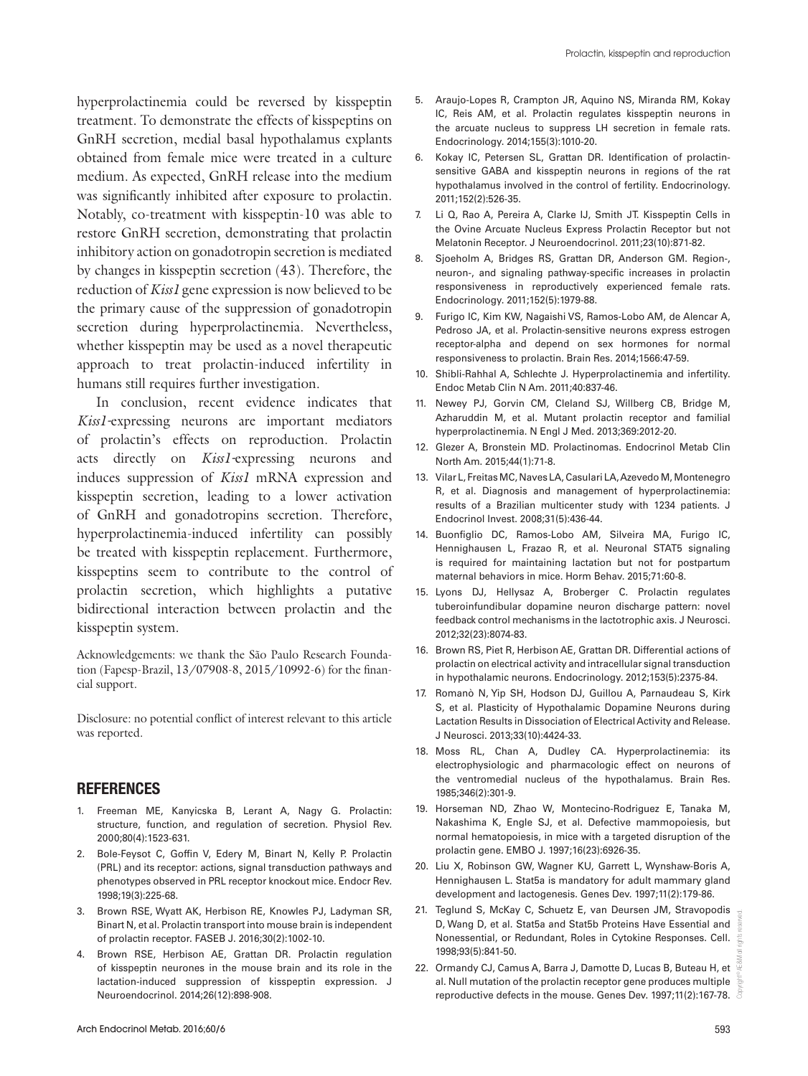hyperprolactinemia could be reversed by kisspeptin treatment. To demonstrate the effects of kisspeptins on GnRH secretion, medial basal hypothalamus explants obtained from female mice were treated in a culture medium. As expected, GnRH release into the medium was significantly inhibited after exposure to prolactin. Notably, co-treatment with kisspeptin-10 was able to restore GnRH secretion, demonstrating that prolactin inhibitory action on gonadotropin secretion is mediated by changes in kisspeptin secretion (43). Therefore, the reduction of *Kiss1* gene expression is now believed to be the primary cause of the suppression of gonadotropin secretion during hyperprolactinemia. Nevertheless, whether kisspeptin may be used as a novel therapeutic approach to treat prolactin-induced infertility in humans still requires further investigation.

In conclusion, recent evidence indicates that *Kiss1-*expressing neurons are important mediators of prolactin's effects on reproduction. Prolactin acts directly on *Kiss1-*expressing neurons and induces suppression of *Kiss1* mRNA expression and kisspeptin secretion, leading to a lower activation of GnRH and gonadotropins secretion. Therefore, hyperprolactinemia-induced infertility can possibly be treated with kisspeptin replacement. Furthermore, kisspeptins seem to contribute to the control of prolactin secretion, which highlights a putative bidirectional interaction between prolactin and the kisspeptin system.

Acknowledgements: we thank the São Paulo Research Foundation (Fapesp-Brazil, 13/07908-8, 2015/10992-6) for the financial support.

Disclosure: no potential conflict of interest relevant to this article was reported.

### REFERENCES

- 1. Freeman ME, Kanyicska B, Lerant A, Nagy G. Prolactin: structure, function, and regulation of secretion. Physiol Rev. 2000;80(4):1523-631.
- 2. Bole-Feysot C, Goffin V, Edery M, Binart N, Kelly P. Prolactin (PRL) and its receptor: actions, signal transduction pathways and phenotypes observed in PRL receptor knockout mice. Endocr Rev. 1998;19(3):225-68.
- 3. Brown RSE, Wyatt AK, Herbison RE, Knowles PJ, Ladyman SR, Binart N, et al. Prolactin transport into mouse brain is independent of prolactin receptor. FASEB J. 2016;30(2):1002-10.
- 4. Brown RSE, Herbison AE, Grattan DR. Prolactin regulation of kisspeptin neurones in the mouse brain and its role in the lactation-induced suppression of kisspeptin expression. J Neuroendocrinol. 2014;26(12):898-908.
- 5. Araujo-Lopes R, Crampton JR, Aquino NS, Miranda RM, Kokay IC, Reis AM, et al. Prolactin regulates kisspeptin neurons in the arcuate nucleus to suppress LH secretion in female rats. Endocrinology. 2014;155(3):1010-20.
- 6. Kokay IC, Petersen SL, Grattan DR. Identification of prolactinsensitive GABA and kisspeptin neurons in regions of the rat hypothalamus involved in the control of fertility. Endocrinology. 2011;152(2):526-35.
- 7. Li Q, Rao A, Pereira A, Clarke IJ, Smith JT. Kisspeptin Cells in the Ovine Arcuate Nucleus Express Prolactin Receptor but not Melatonin Receptor. J Neuroendocrinol. 2011;23(10):871-82.
- 8. Sjoeholm A, Bridges RS, Grattan DR, Anderson GM. Region-, neuron-, and signaling pathway-specific increases in prolactin responsiveness in reproductively experienced female rats. Endocrinology. 2011;152(5):1979-88.
- 9. Furigo IC, Kim KW, Nagaishi VS, Ramos-Lobo AM, de Alencar A, Pedroso JA, et al. Prolactin-sensitive neurons express estrogen receptor-alpha and depend on sex hormones for normal responsiveness to prolactin. Brain Res. 2014;1566:47-59.
- 10. Shibli-Rahhal A, Schlechte J. Hyperprolactinemia and infertility. Endoc Metab Clin N Am. 2011;40:837-46.
- 11. Newey PJ, Gorvin CM, Cleland SJ, Willberg CB, Bridge M, Azharuddin M, et al. Mutant prolactin receptor and familial hyperprolactinemia. N Engl J Med. 2013;369:2012-20.
- 12. Glezer A, Bronstein MD. Prolactinomas. Endocrinol Metab Clin North Am. 2015;44(1):71-8.
- 13. Vilar L, Freitas MC, Naves LA, Casulari LA, Azevedo M, Montenegro R, et al. Diagnosis and management of hyperprolactinemia: results of a Brazilian multicenter study with 1234 patients. J Endocrinol Invest. 2008;31(5):436-44.
- 14. Buonfiglio DC, Ramos-Lobo AM, Silveira MA, Furigo IC, Hennighausen L, Frazao R, et al. Neuronal STAT5 signaling is required for maintaining lactation but not for postpartum maternal behaviors in mice. Horm Behav. 2015;71:60-8.
- 15. Lyons DJ, Hellysaz A, Broberger C. Prolactin regulates tuberoinfundibular dopamine neuron discharge pattern: novel feedback control mechanisms in the lactotrophic axis. J Neurosci. 2012;32(23):8074-83.
- 16. Brown RS, Piet R, Herbison AE, Grattan DR. Differential actions of prolactin on electrical activity and intracellular signal transduction in hypothalamic neurons. Endocrinology. 2012;153(5):2375-84.
- 17. Romanò N, Yip SH, Hodson DJ, Guillou A, Parnaudeau S, Kirk S, et al. Plasticity of Hypothalamic Dopamine Neurons during Lactation Results in Dissociation of Electrical Activity and Release. J Neurosci. 2013;33(10):4424-33.
- 18. Moss RL, Chan A, Dudley CA. Hyperprolactinemia: its electrophysiologic and pharmacologic effect on neurons of the ventromedial nucleus of the hypothalamus. Brain Res. 1985;346(2):301-9.
- 19. Horseman ND, Zhao W, Montecino‐Rodriguez E, Tanaka M, Nakashima K, Engle SJ, et al. Defective mammopoiesis, but normal hematopoiesis, in mice with a targeted disruption of the prolactin gene. EMBO J. 1997;16(23):6926-35.
- 20. Liu X, Robinson GW, Wagner KU, Garrett L, Wynshaw-Boris A, Hennighausen L. Stat5a is mandatory for adult mammary gland development and lactogenesis. Genes Dev. 1997;11(2):179-86.
- 21. Teglund S, McKay C, Schuetz E, van Deursen JM, Stravopodis D, Wang D, et al. Stat5a and Stat5b Proteins Have Essential and Nonessential, or Redundant, Roles in Cytokine Responses. Cell. 1998;93(5):841-50.
- 22. Ormandy CJ, Camus A, Barra J, Damotte D, Lucas B, Buteau H, et al. Null mutation of the prolactin receptor gene produces multiple reproductive defects in the mouse. Genes Dev. 1997;11(2):167-78.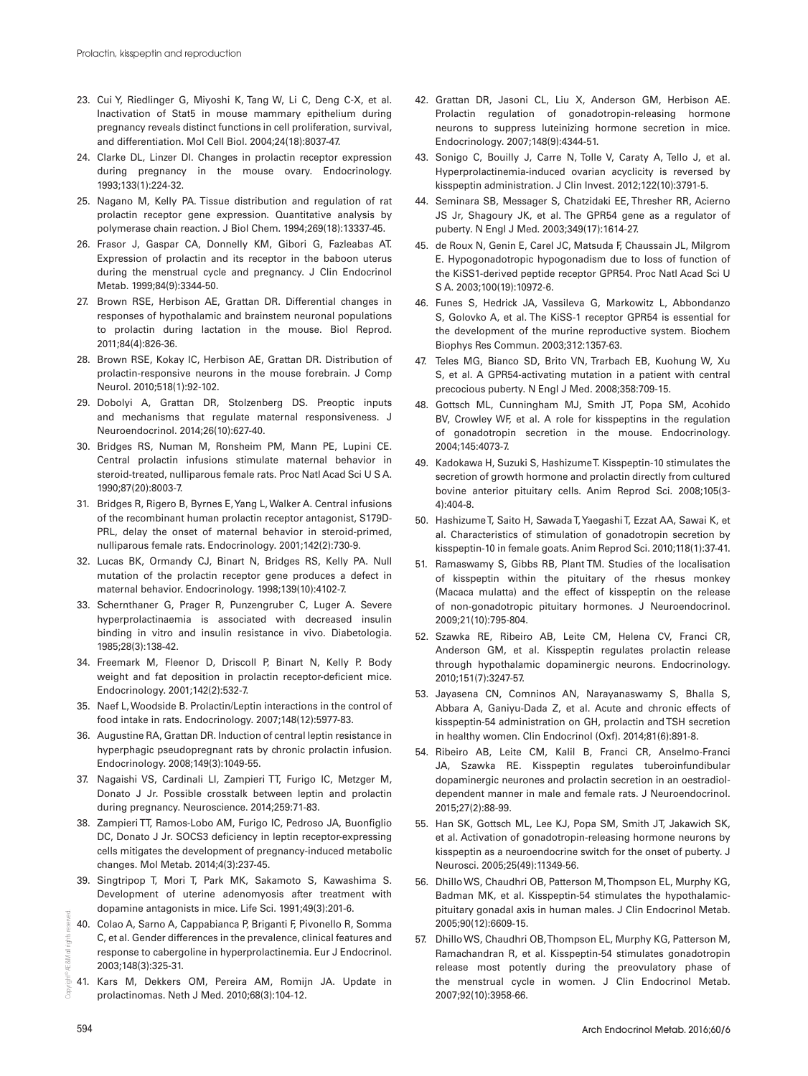- 23. Cui Y, Riedlinger G, Miyoshi K, Tang W, Li C, Deng C-X, et al. Inactivation of Stat5 in mouse mammary epithelium during pregnancy reveals distinct functions in cell proliferation, survival, and differentiation. Mol Cell Biol. 2004;24(18):8037-47.
- 24. Clarke DL, Linzer DI. Changes in prolactin receptor expression during pregnancy in the mouse ovary. Endocrinology. 1993;133(1):224-32.
- 25. Nagano M, Kelly PA. Tissue distribution and regulation of rat prolactin receptor gene expression. Quantitative analysis by polymerase chain reaction. J Biol Chem. 1994;269(18):13337-45.
- 26. Frasor J, Gaspar CA, Donnelly KM, Gibori G, Fazleabas AT. Expression of prolactin and its receptor in the baboon uterus during the menstrual cycle and pregnancy. J Clin Endocrinol Metab. 1999;84(9):3344-50.
- 27. Brown RSE, Herbison AE, Grattan DR. Differential changes in responses of hypothalamic and brainstem neuronal populations to prolactin during lactation in the mouse. Biol Reprod. 2011;84(4):826-36.
- 28. Brown RSE, Kokay IC, Herbison AE, Grattan DR. Distribution of prolactin-responsive neurons in the mouse forebrain. J Comp Neurol. 2010;518(1):92-102.
- 29. Dobolyi A, Grattan DR, Stolzenberg DS. Preoptic inputs and mechanisms that regulate maternal responsiveness. J Neuroendocrinol. 2014;26(10):627-40.
- 30. Bridges RS, Numan M, Ronsheim PM, Mann PE, Lupini CE. Central prolactin infusions stimulate maternal behavior in steroid-treated, nulliparous female rats. Proc Natl Acad Sci U S A. 1990;87(20):8003-7.
- 31. Bridges R, Rigero B, Byrnes E, Yang L, Walker A. Central infusions of the recombinant human prolactin receptor antagonist, S179D-PRL, delay the onset of maternal behavior in steroid-primed, nulliparous female rats. Endocrinology. 2001;142(2):730-9.
- 32. Lucas BK, Ormandy CJ, Binart N, Bridges RS, Kelly PA. Null mutation of the prolactin receptor gene produces a defect in maternal behavior. Endocrinology. 1998;139(10):4102-7.
- 33. Schernthaner G, Prager R, Punzengruber C, Luger A. Severe hyperprolactinaemia is associated with decreased insulin binding in vitro and insulin resistance in vivo. Diabetologia. 1985;28(3):138-42.
- 34. Freemark M, Fleenor D, Driscoll P, Binart N, Kelly P. Body weight and fat deposition in prolactin receptor-deficient mice. Endocrinology. 2001;142(2):532-7.
- 35. Naef L, Woodside B. Prolactin/Leptin interactions in the control of food intake in rats. Endocrinology. 2007;148(12):5977-83.
- 36. Augustine RA, Grattan DR. Induction of central leptin resistance in hyperphagic pseudopregnant rats by chronic prolactin infusion. Endocrinology. 2008;149(3):1049-55.
- 37. Nagaishi VS, Cardinali LI, Zampieri TT, Furigo IC, Metzger M, Donato J Jr. Possible crosstalk between leptin and prolactin during pregnancy. Neuroscience. 2014;259:71-83.
- 38. Zampieri TT, Ramos-Lobo AM, Furigo IC, Pedroso JA, Buonfiglio DC, Donato J Jr. SOCS3 deficiency in leptin receptor-expressing cells mitigates the development of pregnancy-induced metabolic changes. Mol Metab. 2014;4(3):237-45.
- 39. Singtripop T, Mori T, Park MK, Sakamoto S, Kawashima S. Development of uterine adenomyosis after treatment with dopamine antagonists in mice. Life Sci. 1991;49(3):201-6.
- 40. Colao A, Sarno A, Cappabianca P, Briganti F, Pivonello R, Somma C, et al. Gender differences in the prevalence, clinical features and response to cabergoline in hyperprolactinemia. Eur J Endocrinol. 2003;148(3):325-31.
- Copyright© AE&M all rights reserved. 41. Kars M, Dekkers OM, Pereira AM, Romijn JA. Update in prolactinomas. Neth J Med. 2010;68(3):104-12.
- 42. Grattan DR, Jasoni CL, Liu X, Anderson GM, Herbison AE. Prolactin regulation of gonadotropin-releasing hormone neurons to suppress luteinizing hormone secretion in mice. Endocrinology. 2007;148(9):4344-51.
- 43. Sonigo C, Bouilly J, Carre N, Tolle V, Caraty A, Tello J, et al. Hyperprolactinemia-induced ovarian acyclicity is reversed by kisspeptin administration. J Clin Invest. 2012;122(10):3791-5.
- 44. Seminara SB, Messager S, Chatzidaki EE, Thresher RR, Acierno JS Jr, Shagoury JK, et al. The GPR54 gene as a regulator of puberty. N Engl J Med. 2003;349(17):1614-27.
- 45. de Roux N, Genin E, Carel JC, Matsuda F, Chaussain JL, Milgrom E. Hypogonadotropic hypogonadism due to loss of function of the KiSS1-derived peptide receptor GPR54. Proc Natl Acad Sci U S A. 2003;100(19):10972-6.
- 46. Funes S, Hedrick JA, Vassileva G, Markowitz L, Abbondanzo S, Golovko A, et al. The KiSS-1 receptor GPR54 is essential for the development of the murine reproductive system. Biochem Biophys Res Commun. 2003;312:1357-63.
- 47. Teles MG, Bianco SD, Brito VN, Trarbach EB, Kuohung W, Xu S, et al. A GPR54-activating mutation in a patient with central precocious puberty. N Engl J Med. 2008;358:709-15.
- 48. Gottsch ML, Cunningham MJ, Smith JT, Popa SM, Acohido BV, Crowley WF, et al. A role for kisspeptins in the regulation of gonadotropin secretion in the mouse. Endocrinology. 2004;145:4073-7.
- 49. Kadokawa H, Suzuki S, Hashizume T. Kisspeptin-10 stimulates the secretion of growth hormone and prolactin directly from cultured bovine anterior pituitary cells. Anim Reprod Sci. 2008;105(3- 4):404-8.
- 50. Hashizume T, Saito H, Sawada T, Yaegashi T, Ezzat AA, Sawai K, et al. Characteristics of stimulation of gonadotropin secretion by kisspeptin-10 in female goats. Anim Reprod Sci. 2010;118(1):37-41.
- 51. Ramaswamy S, Gibbs RB, Plant TM. Studies of the localisation of kisspeptin within the pituitary of the rhesus monkey (Macaca mulatta) and the effect of kisspeptin on the release of non-gonadotropic pituitary hormones. J Neuroendocrinol. 2009;21(10):795-804.
- 52. Szawka RE, Ribeiro AB, Leite CM, Helena CV, Franci CR, Anderson GM, et al. Kisspeptin regulates prolactin release through hypothalamic dopaminergic neurons. Endocrinology. 2010;151(7):3247-57.
- 53. Jayasena CN, Comninos AN, Narayanaswamy S, Bhalla S, Abbara A, Ganiyu-Dada Z, et al. Acute and chronic effects of kisspeptin-54 administration on GH, prolactin and TSH secretion in healthy women. Clin Endocrinol (Oxf). 2014;81(6):891-8.
- 54. Ribeiro AB, Leite CM, Kalil B, Franci CR, Anselmo-Franci JA, Szawka RE. Kisspeptin regulates tuberoinfundibular dopaminergic neurones and prolactin secretion in an oestradioldependent manner in male and female rats. J Neuroendocrinol. 2015;27(2):88-99.
- 55. Han SK, Gottsch ML, Lee KJ, Popa SM, Smith JT, Jakawich SK, et al. Activation of gonadotropin-releasing hormone neurons by kisspeptin as a neuroendocrine switch for the onset of puberty. J Neurosci. 2005;25(49):11349-56.
- 56. Dhillo WS, Chaudhri OB, Patterson M, Thompson EL, Murphy KG, Badman MK, et al. Kisspeptin-54 stimulates the hypothalamicpituitary gonadal axis in human males. J Clin Endocrinol Metab. 2005;90(12):6609-15.
- 57. Dhillo WS, Chaudhri OB, Thompson EL, Murphy KG, Patterson M, Ramachandran R, et al. Kisspeptin-54 stimulates gonadotropin release most potently during the preovulatory phase of the menstrual cycle in women. J Clin Endocrinol Metab. 2007;92(10):3958-66.

AE&M all rights

in